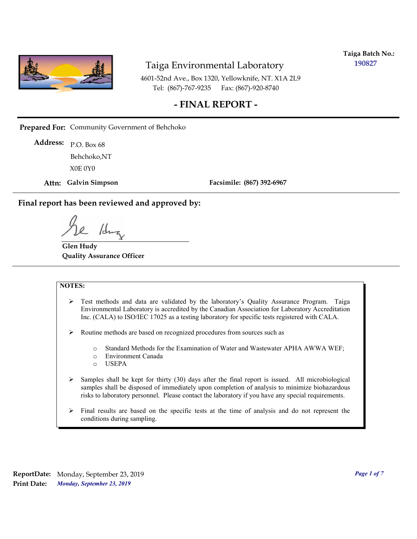

**Taiga Batch No.: 190827**

4601-52nd Ave., Box 1320, Yellowknife, NT. X1A 2L9 Tel: (867)-767-9235 Fax: (867)-920-8740

## **- FINAL REPORT -**

**Prepared For:** Community Government of Behchoko

P.O. Box 68 **Address:** X0E 0Y0 Behchoko,NT

**Attn: Galvin Simpson**

**Facsimile: (867) 392-6967**

**Final report has been reviewed and approved by:**

1dr

**Glen Hudy Quality Assurance Officer**

#### **NOTES:**

- $\triangleright$  Test methods and data are validated by the laboratory's Quality Assurance Program. Taiga Environmental Laboratory is accredited by the Canadian Association for Laboratory Accreditation Inc. (CALA) to ISO/IEC 17025 as a testing laboratory for specific tests registered with CALA.
- Routine methods are based on recognized procedures from sources such as
	- o Standard Methods for the Examination of Water and Wastewater APHA AWWA WEF;
	- o Environment Canada
	- o USEPA
- $\triangleright$  Samples shall be kept for thirty (30) days after the final report is issued. All microbiological samples shall be disposed of immediately upon completion of analysis to minimize biohazardous risks to laboratory personnel. Please contact the laboratory if you have any special requirements.
- $\triangleright$  Final results are based on the specific tests at the time of analysis and do not represent the conditions during sampling.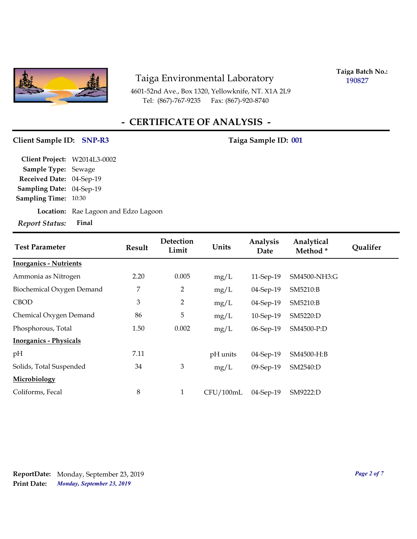

4601-52nd Ave., Box 1320, Yellowknife, NT. X1A 2L9 Tel: (867)-767-9235 Fax: (867)-920-8740

**Taiga Batch No.: 190827**

# **- CERTIFICATE OF ANALYSIS -**

#### Client Sample ID: SNP-R3 Taiga Sample ID: 001

| Client Project: W2014L3-0002 |                                      |
|------------------------------|--------------------------------------|
| <b>Sample Type: Sewage</b>   |                                      |
| Received Date: 04-Sep-19     |                                      |
| Sampling Date: 04-Sep-19     |                                      |
| <b>Sampling Time: 10:30</b>  |                                      |
|                              | Location: Rae Lagoon and Edzo Lagoon |
| Report Status: Final         |                                      |

| <b>Test Parameter</b>         | <b>Result</b> | Detection<br>Limit | Units     | Analysis<br>Date | Analytical<br>Method* | <b>Oualifer</b> |
|-------------------------------|---------------|--------------------|-----------|------------------|-----------------------|-----------------|
| <b>Inorganics - Nutrients</b> |               |                    |           |                  |                       |                 |
| Ammonia as Nitrogen           | 2.20          | 0.005              | mg/L      | 11-Sep-19        | SM4500-NH3:G          |                 |
| Biochemical Oxygen Demand     | 7             | $\overline{2}$     | mg/L      | 04-Sep-19        | SM5210:B              |                 |
| <b>CBOD</b>                   | 3             | $\overline{2}$     | mg/L      | 04-Sep-19        | SM5210:B              |                 |
| Chemical Oxygen Demand        | 86            | 5                  | mg/L      | 10-Sep-19        | SM5220:D              |                 |
| Phosphorous, Total            | 1.50          | 0.002              | mg/L      | 06-Sep-19        | SM4500-P:D            |                 |
| <b>Inorganics - Physicals</b> |               |                    |           |                  |                       |                 |
| pH                            | 7.11          |                    | pH units  | 04-Sep-19        | SM4500-H:B            |                 |
| Solids, Total Suspended       | 34            | 3                  | mg/L      | 09-Sep-19        | SM2540:D              |                 |
| Microbiology                  |               |                    |           |                  |                       |                 |
| Coliforms, Fecal              | $\,8\,$       | $\mathbf{1}$       | CFU/100mL | 04-Sep-19        | SM9222:D              |                 |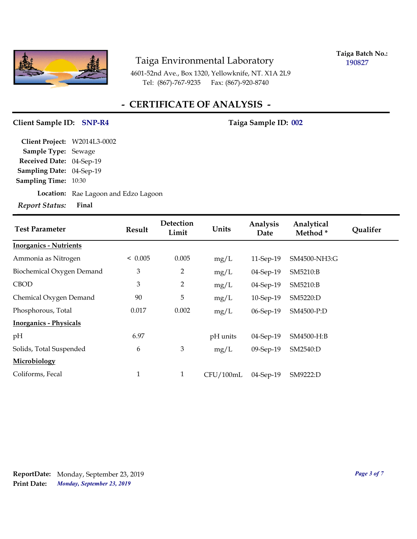

**Taiga Batch No.: 190827**

4601-52nd Ave., Box 1320, Yellowknife, NT. X1A 2L9 Tel: (867)-767-9235 Fax: (867)-920-8740

# **- CERTIFICATE OF ANALYSIS -**

#### Client Sample ID: SNP-R4 Taiga Sample ID: 002

| <b>Test Parameter</b>         | <b>Result</b> | Detection<br>Limit | Units     | Analysis<br>Date | Analytical<br>Method* | <b>Qualifer</b> |
|-------------------------------|---------------|--------------------|-----------|------------------|-----------------------|-----------------|
| <b>Inorganics - Nutrients</b> |               |                    |           |                  |                       |                 |
| Ammonia as Nitrogen           | < 0.005       | 0.005              | mg/L      | 11-Sep-19        | SM4500-NH3:G          |                 |
| Biochemical Oxygen Demand     | 3             | $\overline{2}$     | mg/L      | 04-Sep-19        | SM5210:B              |                 |
| <b>CBOD</b>                   | 3             | $\overline{2}$     | mg/L      | 04-Sep-19        | SM5210:B              |                 |
| Chemical Oxygen Demand        | 90            | 5                  | mg/L      | 10-Sep-19        | SM5220:D              |                 |
| Phosphorous, Total            | 0.017         | 0.002              | mg/L      | 06-Sep-19        | SM4500-P:D            |                 |
| <b>Inorganics - Physicals</b> |               |                    |           |                  |                       |                 |
| pH                            | 6.97          |                    | pH units  | 04-Sep-19        | SM4500-H:B            |                 |
| Solids, Total Suspended       | 6             | 3                  | mg/L      | 09-Sep-19        | SM2540:D              |                 |
| Microbiology                  |               |                    |           |                  |                       |                 |
| Coliforms, Fecal              | $\mathbf{1}$  | $\mathbf{1}$       | CFU/100mL | 04-Sep-19        | SM9222:D              |                 |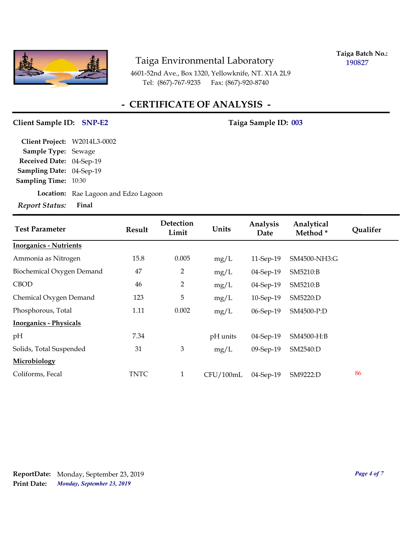

**Taiga Batch No.: 190827**

4601-52nd Ave., Box 1320, Yellowknife, NT. X1A 2L9 Tel: (867)-767-9235 Fax: (867)-920-8740

# **- CERTIFICATE OF ANALYSIS -**

#### **Client Sample ID: Taiga Sample ID: SNP-E2 003**

| <b>Test Parameter</b>         | Result | Detection<br>Limit | Units     | Analysis<br>Date | Analytical<br>Method* | <b>Qualifer</b> |
|-------------------------------|--------|--------------------|-----------|------------------|-----------------------|-----------------|
| <b>Inorganics - Nutrients</b> |        |                    |           |                  |                       |                 |
| Ammonia as Nitrogen           | 15.8   | 0.005              | mg/L      | 11-Sep-19        | SM4500-NH3:G          |                 |
| Biochemical Oxygen Demand     | 47     | $\overline{2}$     | mg/L      | 04-Sep-19        | SM5210:B              |                 |
| <b>CBOD</b>                   | 46     | $\overline{2}$     | mg/L      | 04-Sep-19        | SM5210:B              |                 |
| Chemical Oxygen Demand        | 123    | 5                  | mg/L      | 10-Sep-19        | SM5220:D              |                 |
| Phosphorous, Total            | 1.11   | 0.002              | mg/L      | 06-Sep-19        | SM4500-P:D            |                 |
| <b>Inorganics - Physicals</b> |        |                    |           |                  |                       |                 |
| pH                            | 7.34   |                    | pH units  | 04-Sep-19        | SM4500-H:B            |                 |
| Solids, Total Suspended       | 31     | 3                  | mg/L      | 09-Sep-19        | SM2540:D              |                 |
| Microbiology                  |        |                    |           |                  |                       |                 |
| Coliforms, Fecal              | TNTC   | $\mathbf{1}$       | CFU/100mL | $04$ -Sep-19     | SM9222:D              | 86              |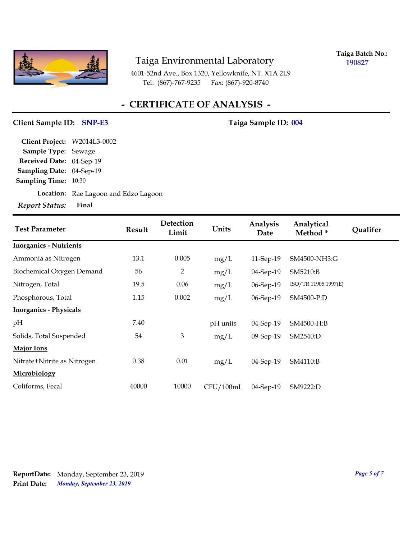

**Taiga Batch No.: 190827**

4601-52nd Ave., Box 1320, Yellowknife, NT. X1A 2L9 Tel: (867)-767-9235 Fax: (867)-920-8740

# **- CERTIFICATE OF ANALYSIS -**

#### **Client Sample ID: Taiga Sample ID: SNP-E3 004**

| <b>Test Parameter</b>         | <b>Result</b> | Detection<br>Limit | Units     | Analysis<br>Date | Analytical<br>Method* | <b>Qualifer</b> |
|-------------------------------|---------------|--------------------|-----------|------------------|-----------------------|-----------------|
| <b>Inorganics - Nutrients</b> |               |                    |           |                  |                       |                 |
| Ammonia as Nitrogen           | 13.1          | 0.005              | mg/L      | 11-Sep-19        | SM4500-NH3:G          |                 |
| Biochemical Oxygen Demand     | 56            | $\overline{2}$     | mg/L      | 04-Sep-19        | SM5210:B              |                 |
| Nitrogen, Total               | 19.5          | 0.06               | mg/L      | 06-Sep-19        | ISO/TR 11905:1997(E)  |                 |
| Phosphorous, Total            | 1.15          | 0.002              | mg/L      | 06-Sep-19        | SM4500-P:D            |                 |
| <b>Inorganics - Physicals</b> |               |                    |           |                  |                       |                 |
| pН                            | 7.40          |                    | pH units  | 04-Sep-19        | SM4500-H:B            |                 |
| Solids, Total Suspended       | 54            | $\mathfrak{Z}$     | mg/L      | 09-Sep-19        | SM2540:D              |                 |
| <b>Major Ions</b>             |               |                    |           |                  |                       |                 |
| Nitrate+Nitrite as Nitrogen   | 0.38          | 0.01               | mg/L      | 04-Sep-19        | SM4110:B              |                 |
| Microbiology                  |               |                    |           |                  |                       |                 |
| Coliforms, Fecal              | 40000         | 10000              | CFU/100mL | 04-Sep-19        | SM9222:D              |                 |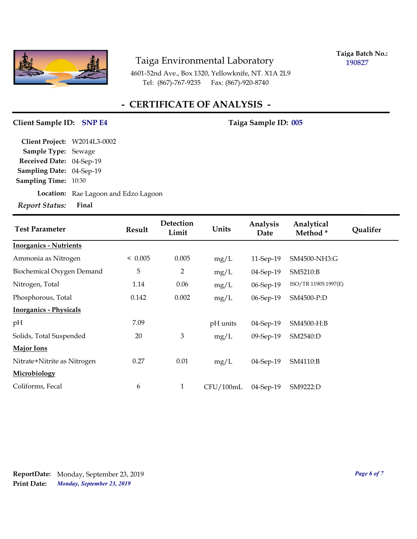

**Taiga Batch No.: 190827**

4601-52nd Ave., Box 1320, Yellowknife, NT. X1A 2L9 Tel: (867)-767-9235 Fax: (867)-920-8740

# **- CERTIFICATE OF ANALYSIS -**

#### Client Sample ID: SNP E4 Taiga Sample ID: 005

| <b>Test Parameter</b>         | <b>Result</b> | Detection<br>Limit | Units     | Analysis<br>Date | Analytical<br>Method* | <b>Qualifer</b> |
|-------------------------------|---------------|--------------------|-----------|------------------|-----------------------|-----------------|
| <b>Inorganics - Nutrients</b> |               |                    |           |                  |                       |                 |
| Ammonia as Nitrogen           | < 0.005       | 0.005              | mg/L      | 11-Sep-19        | SM4500-NH3:G          |                 |
| Biochemical Oxygen Demand     | 5             | 2                  | mg/L      | 04-Sep-19        | SM5210:B              |                 |
| Nitrogen, Total               | 1.14          | 0.06               | mg/L      | 06-Sep-19        | ISO/TR 11905:1997(E)  |                 |
| Phosphorous, Total            | 0.142         | 0.002              | mg/L      | 06-Sep-19        | SM4500-P:D            |                 |
| <b>Inorganics - Physicals</b> |               |                    |           |                  |                       |                 |
| pH                            | 7.09          |                    | pH units  | 04-Sep-19        | SM4500-H:B            |                 |
| Solids, Total Suspended       | 20            | 3                  | mg/L      | 09-Sep-19        | SM2540:D              |                 |
| <b>Major Ions</b>             |               |                    |           |                  |                       |                 |
| Nitrate+Nitrite as Nitrogen   | 0.27          | 0.01               | mg/L      | 04-Sep-19        | SM4110:B              |                 |
| Microbiology                  |               |                    |           |                  |                       |                 |
| Coliforms, Fecal              | 6             | $\mathbf{1}$       | CFU/100mL | 04-Sep-19        | SM9222:D              |                 |